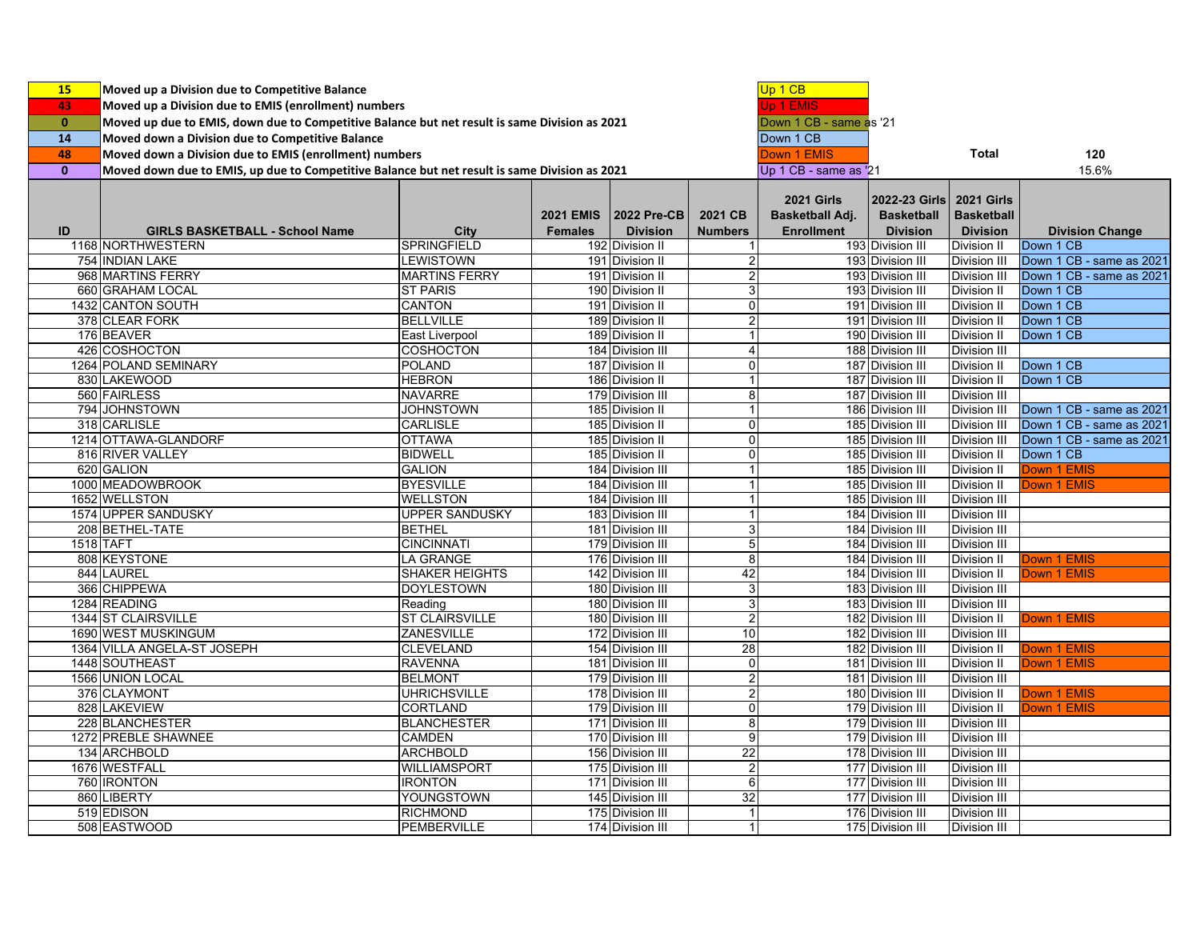| 15           | Moved up a Division due to Competitive Balance                                                |                                    |                  |                                      |                         | Up 1 CB                              |                                      |                                   |                                     |
|--------------|-----------------------------------------------------------------------------------------------|------------------------------------|------------------|--------------------------------------|-------------------------|--------------------------------------|--------------------------------------|-----------------------------------|-------------------------------------|
| 43           | Moved up a Division due to EMIS (enrollment) numbers                                          |                                    |                  |                                      |                         |                                      |                                      |                                   |                                     |
| $\mathbf{0}$ | Moved up due to EMIS, down due to Competitive Balance but net result is same Division as 2021 |                                    |                  |                                      |                         | Jp 1 EMIS<br>Down 1 CB - same as '21 |                                      |                                   |                                     |
| 14           | Moved down a Division due to Competitive Balance                                              |                                    |                  |                                      |                         | Down 1 CB                            |                                      |                                   |                                     |
|              |                                                                                               |                                    |                  |                                      |                         |                                      |                                      | <b>Total</b>                      |                                     |
| 48           | Moved down a Division due to EMIS (enrollment) numbers                                        |                                    |                  |                                      |                         | <b>Down 1 EMIS</b>                   |                                      |                                   | 120                                 |
| $\mathbf{0}$ | Moved down due to EMIS, up due to Competitive Balance but net result is same Division as 2021 |                                    |                  |                                      |                         | Up 1 CB - same as '21                |                                      |                                   | 15.6%                               |
|              |                                                                                               |                                    |                  |                                      |                         | <b>2021 Girls</b>                    | 2022-23 Girls                        | <b>2021 Girls</b>                 |                                     |
|              |                                                                                               |                                    | <b>2021 EMIS</b> | <b>2022 Pre-CB</b>                   | 2021 CB                 |                                      | <b>Basketball</b>                    | <b>Basketball</b>                 |                                     |
| ID           | <b>GIRLS BASKETBALL - School Name</b>                                                         | <b>City</b>                        | <b>Females</b>   | <b>Division</b>                      | <b>Numbers</b>          | Basketball Adj.<br><b>Enrollment</b> | <b>Division</b>                      | <b>Division</b>                   |                                     |
|              | 1168 NORTHWESTERN                                                                             | <b>SPRINGFIELD</b>                 |                  | 192 Division II                      | 1                       |                                      | 193 Division III                     | Division II                       | <b>Division Change</b><br>Down 1 CB |
|              | 754 INDIAN LAKE                                                                               | <b>LEWISTOWN</b>                   |                  | 191 Division II                      | 2                       |                                      | 193 Division III                     | Division III                      | Down 1 CB - same as 2021            |
|              | 968 MARTINS FERRY                                                                             | <b>MARTINS FERRY</b>               |                  | 191 Division II                      | 2                       |                                      | 193 Division III                     | <b>Division III</b>               | Down 1 CB - same as 2021            |
|              | 660 GRAHAM LOCAL                                                                              | <b>ST PARIS</b>                    |                  | 190 Division II                      | 3                       |                                      | 193 Division III                     | <b>Division II</b>                | Down 1 CB                           |
|              | 1432 CANTON SOUTH                                                                             | <b>CANTON</b>                      |                  | 191 Division II                      | 0                       |                                      | 191 Division III                     | Division II                       | Down 1 CB                           |
|              | 378 CLEAR FORK                                                                                | <b>BELLVILLE</b>                   |                  | 189 Division II                      | $\overline{\mathbf{c}}$ |                                      | 191 Division III                     | Division II                       | Down 1 CB                           |
|              | 176 BEAVER                                                                                    | East Liverpool                     |                  | 189 Division II                      | 1                       |                                      | 190 Division III                     | Division II                       | Down 1 CB                           |
|              | 426 COSHOCTON                                                                                 | COSHOCTON                          |                  | 184 Division III                     | 4                       |                                      | 188 Division III                     | <b>Division III</b>               |                                     |
|              | 1264 POLAND SEMINARY                                                                          | <b>POLAND</b>                      |                  | 187 Division II                      | $\overline{0}$          |                                      | 187 Division III                     | Division II                       | Down 1 CB                           |
|              | 830 LAKEWOOD                                                                                  | <b>HEBRON</b>                      |                  | 186 Division II                      |                         |                                      | 187 Division III                     | Division II                       | Down 1 CB                           |
|              | 560 FAIRLESS                                                                                  | <b>NAVARRE</b>                     |                  | 179 Division III                     | 8                       |                                      | 187 Division III                     | <b>Division III</b>               |                                     |
|              | 794 JOHNSTOWN                                                                                 | <b>JOHNSTOWN</b>                   |                  | 185 Division II                      | 1                       |                                      | 186 Division III                     | <b>Division III</b>               | Down 1 CB - same as 2021            |
|              | 318 CARLISLE                                                                                  | <b>CARLISLE</b>                    |                  | 185 Division II                      | 0                       |                                      | 185 Division III                     |                                   | Down 1 CB - same as 2021            |
|              | 1214 OTTAWA-GLANDORF                                                                          | <b>OTTAWA</b>                      |                  |                                      | $\Omega$                |                                      | 185 Division III                     | Division III<br>Division III      | Down 1 CB - same as 2021            |
|              | 816 RIVER VALLEY                                                                              | <b>BIDWELL</b>                     |                  | 185 Division II<br>185 Division II   | 0                       |                                      | 185 Division III                     |                                   | Down 1 CB                           |
|              | 620 GALION                                                                                    | <b>GALION</b>                      |                  | 184 Division III                     | 1                       |                                      | 185 Division III                     | Division II<br><b>Division II</b> | Down 1 EMIS                         |
|              | 1000 MEADOWBROOK                                                                              | <b>BYESVILLE</b>                   |                  |                                      | 1                       |                                      |                                      |                                   | Down 1 EMIS                         |
|              | 1652 WELLSTON                                                                                 | <b>WELLSTON</b>                    |                  | 184 Division III                     |                         |                                      | 185 Division III                     | Division II                       |                                     |
|              | 1574 UPPER SANDUSKY                                                                           | <b>UPPER SANDUSKY</b>              |                  | 184 Division III<br>183 Division III | 1<br>1                  |                                      | 185 Division III<br>184 Division III | <b>Division III</b>               |                                     |
|              | 208 BETHEL-TATE                                                                               | <b>BETHEL</b>                      |                  |                                      | 3                       |                                      | 184 Division III                     | Division III                      |                                     |
|              |                                                                                               |                                    |                  | 181 Division III                     |                         |                                      |                                      | Division III                      |                                     |
|              | 1518 TAFT                                                                                     | <b>CINCINNATI</b>                  |                  | 179 Division III                     | 5                       |                                      | 184 Division III                     | Division III                      |                                     |
|              | 808 KEYSTONE                                                                                  | <b>LA GRANGE</b>                   |                  | 176 Division III                     | 8                       |                                      | 184 Division III                     | Division II                       | Down 1 EMIS                         |
|              | 844 LAUREL                                                                                    | <b>SHAKER HEIGHTS</b>              |                  | 142 Division III                     | 42                      |                                      | 184 Division III                     | Division II                       | Down 1 EMIS                         |
|              | 366 CHIPPEWA                                                                                  | <b>DOYLESTOWN</b>                  |                  | 180 Division III                     | 3                       |                                      | 183 Division III                     | Division III                      |                                     |
|              | 1284 READING                                                                                  | Reading                            |                  | 180 Division III                     | 3                       |                                      | 183 Division III                     | Division III                      |                                     |
|              | 1344 ST CLAIRSVILLE                                                                           | <b>ST CLAIRSVILLE</b>              |                  | 180 Division III                     | $\overline{2}$          |                                      | 182 Division III                     | <b>Division II</b>                | Down 1 EMIS                         |
|              | 1690 WEST MUSKINGUM                                                                           | ZANESVILLE                         |                  | 172 Division III                     | 10<br>28                |                                      | 182 Division III                     | Division III                      |                                     |
|              | 1364 VILLA ANGELA-ST JOSEPH<br>1448 SOUTHEAST                                                 | <b>CLEVELAND</b><br><b>RAVENNA</b> |                  | 154 Division III<br>181 Division III | 0                       |                                      | 182 Division III<br>181 Division III | Division II                       | <b>Down 1 EMIS</b><br>Down 1 EMIS   |
|              |                                                                                               |                                    |                  |                                      |                         |                                      |                                      | Division II                       |                                     |
|              | 1566 UNION LOCAL                                                                              | <b>BELMONT</b><br>UHRICHSVILLE     |                  | 179 Division III                     | $\overline{\mathbf{c}}$ |                                      | 181 Division III                     | <b>Division III</b>               |                                     |
|              | 376 CLAYMONT                                                                                  |                                    |                  | 178 Division III                     | 2                       |                                      | 180 Division III                     | Division II                       | Down 1 EMIS                         |
|              | 828 LAKEVIEW                                                                                  | <b>CORTLAND</b>                    |                  | 179 Division III                     | 0                       |                                      | 179 Division III                     | Division II                       | Down 1 EMIS                         |
|              | 228 BLANCHESTER                                                                               | <b>BLANCHESTER</b>                 |                  | 171 Division III                     | 8                       |                                      | 179 Division III                     | <b>Division III</b>               |                                     |
|              | 1272 PREBLE SHAWNEE                                                                           | <b>CAMDEN</b><br><b>ARCHBOLD</b>   |                  | 170 Division III                     | 9<br>22                 |                                      | 179 Division III<br>178 Division III | Division III                      |                                     |
|              | 134 ARCHBOLD                                                                                  |                                    |                  | 156 Division III                     |                         |                                      |                                      | Division III                      |                                     |
|              | 1676 WESTFALL                                                                                 | WILLIAMSPORT                       |                  | 175 Division III                     | $\overline{2}$          |                                      | 177 Division III                     | Division III                      |                                     |
|              | 760 IRONTON                                                                                   | <b>IRONTON</b>                     |                  | 171 Division III                     | 6<br>32                 |                                      | 177 Division III                     | Division III                      |                                     |
|              | 860 LIBERTY                                                                                   | YOUNGSTOWN                         |                  | 145 Division III                     |                         |                                      | 177 Division III                     | <b>Division III</b>               |                                     |
|              | 519 EDISON                                                                                    | <b>RICHMOND</b>                    |                  | 175 Division III                     | $\mathbf{1}$            |                                      | 176 Division III                     | <b>Division III</b>               |                                     |
|              | 508 EASTWOOD                                                                                  | PEMBERVILLE                        |                  | 174 Division III                     | $\mathbf{1}$            |                                      | 175 Division III                     | Division III                      |                                     |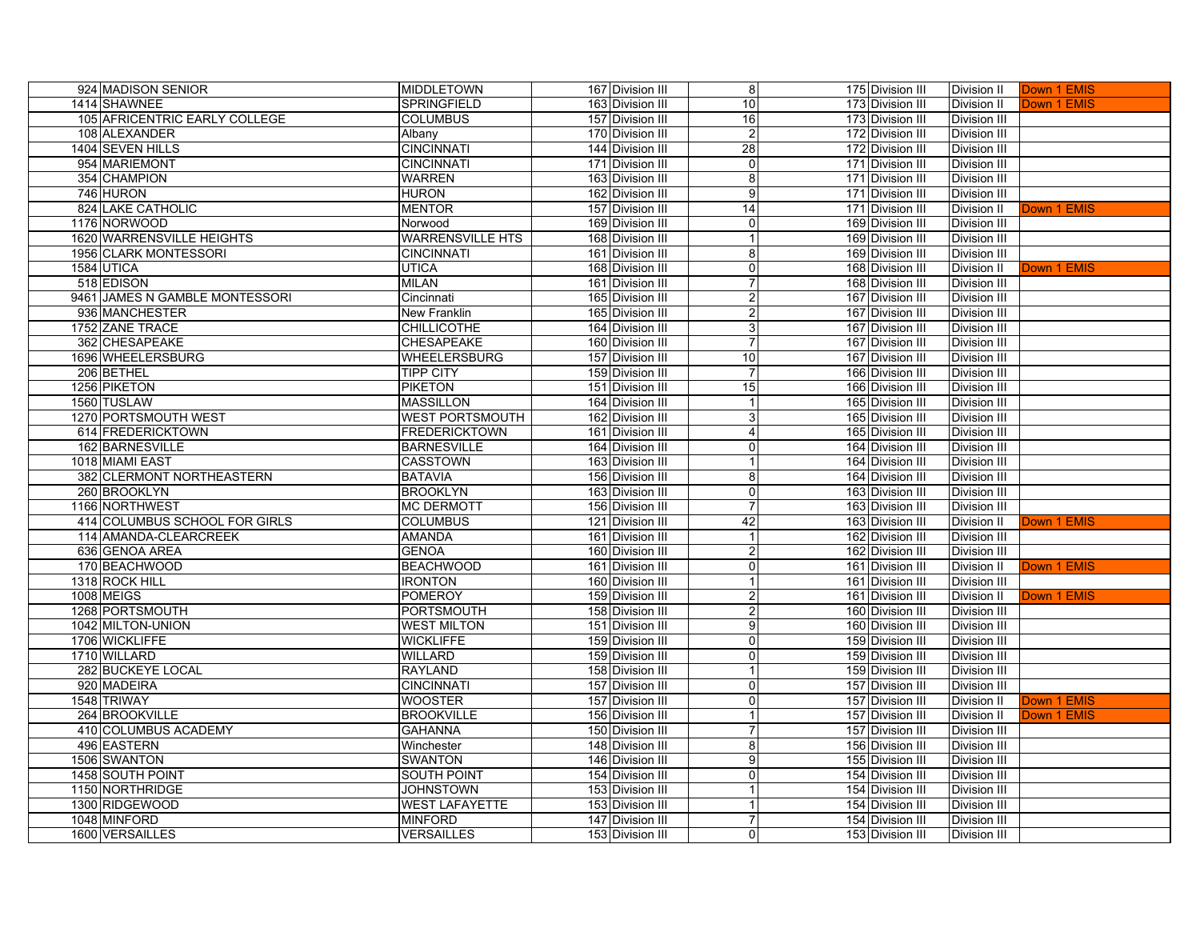| 924 MADISON SENIOR               | <b>MIDDLETOWN</b>       | 167 Division III | 8               | 175 Division III | Division II         | Down 1 EMIS |
|----------------------------------|-------------------------|------------------|-----------------|------------------|---------------------|-------------|
| 1414 SHAWNEE                     | SPRINGFIELD             | 163 Division III | 10 <sup>1</sup> | 173 Division III | Division II         | Down 1 EMIS |
| 105 AFRICENTRIC EARLY COLLEGE    | <b>COLUMBUS</b>         | 157 Division III | 16              | 173 Division III | <b>Division III</b> |             |
| 108 ALEXANDER                    | Albany                  | 170 Division III | $\overline{c}$  | 172 Division III | Division III        |             |
| 1404 SEVEN HILLS                 | <b>CINCINNATI</b>       | 144 Division III | 28              | 172 Division III | <b>Division III</b> |             |
| 954 MARIEMONT                    | <b>CINCINNATI</b>       | 171 Division III | $\mathbf 0$     | 171 Division III | Division III        |             |
| 354 CHAMPION                     | <b>WARREN</b>           | 163 Division III | 8               | 171 Division III | <b>Division III</b> |             |
| 746 HURON                        | <b>HURON</b>            | 162 Division III | 9               | 171 Division III | <b>Division III</b> |             |
| 824 LAKE CATHOLIC                | <b>MENTOR</b>           | 157 Division III | 14              | 171 Division III | Division II         | Down 1 EMIS |
| 1176 NORWOOD                     | Norwood                 | 169 Division III | $\overline{0}$  | 169 Division III | <b>Division III</b> |             |
| <b>1620 WARRENSVILLE HEIGHTS</b> | <b>WARRENSVILLE HTS</b> | 168 Division III | $\overline{1}$  | 169 Division III | <b>Division III</b> |             |
| 1956 CLARK MONTESSORI            | <b>CINCINNATI</b>       | 161 Division III | 8               | 169 Division III | <b>Division III</b> |             |
| 1584 UTICA                       | <b>UTICA</b>            | 168 Division III | $\overline{0}$  | 168 Division III | Division II         | Down 1 EMIS |
| 518 EDISON                       | <b>MILAN</b>            | 161 Division III | $\overline{7}$  | 168 Division III | <b>Division III</b> |             |
| 9461 JAMES N GAMBLE MONTESSORI   | Cincinnati              | 165 Division III | $\overline{a}$  | 167 Division III | <b>Division III</b> |             |
| 936 MANCHESTER                   | New Franklin            | 165 Division III | $\overline{2}$  | 167 Division III | <b>Division III</b> |             |
| 1752 ZANE TRACE                  | <b>CHILLICOTHE</b>      | 164 Division III | 3               | 167 Division III | <b>Division III</b> |             |
| 362 CHESAPEAKE                   | CHESAPEAKE              | 160 Division III | $\overline{7}$  | 167 Division III | <b>Division III</b> |             |
| 1696 WHEELERSBURG                | <b>WHEELERSBURG</b>     | 157 Division III | 10              | 167 Division III | <b>Division III</b> |             |
| 206 BETHEL                       | <b>TIPP CITY</b>        | 159 Division III | $\overline{7}$  | 166 Division III | Division III        |             |
| 1256 PIKETON                     | <b>PIKETON</b>          | 151 Division III | 15              | 166 Division III | Division III        |             |
| 1560 TUSLAW                      | <b>MASSILLON</b>        | 164 Division III |                 | 165 Division III | <b>Division III</b> |             |
| 1270 PORTSMOUTH WEST             | <b>WEST PORTSMOUTH</b>  | 162 Division III | $\overline{3}$  | 165 Division III | <b>Division III</b> |             |
| 614 FREDERICKTOWN                | <b>FREDERICKTOWN</b>    | 161 Division III | $\overline{4}$  | 165 Division III | <b>Division III</b> |             |
| 162 BARNESVILLE                  | <b>BARNESVILLE</b>      | 164 Division III | $\Omega$        | 164 Division III | <b>Division III</b> |             |
| 1018 MIAMI EAST                  | <b>CASSTOWN</b>         | 163 Division III | $\mathbf{1}$    | 164 Division III | <b>Division III</b> |             |
| 382 CLERMONT NORTHEASTERN        | <b>BATAVIA</b>          | 156 Division III | 8               | 164 Division III | <b>Division III</b> |             |
| 260 BROOKLYN                     | <b>BROOKLYN</b>         | 163 Division III | $\mathbf 0$     | 163 Division III | <b>Division III</b> |             |
| 1166 NORTHWEST                   | <b>MC DERMOTT</b>       | 156 Division III | $\overline{7}$  | 163 Division III | <b>Division III</b> |             |
| 414 COLUMBUS SCHOOL FOR GIRLS    | <b>COLUMBUS</b>         | 121 Division III | 42              | 163 Division III | Division II         | Down 1 EMIS |
| 114 AMANDA-CLEARCREEK            | <b>AMANDA</b>           | 161 Division III | $\vert$ 1       | 162 Division III | <b>Division III</b> |             |
| 636 GENOA AREA                   | <b>GENOA</b>            | 160 Division III | $\overline{2}$  | 162 Division III | <b>Division III</b> |             |
| 170 BEACHWOOD                    | <b>BEACHWOOD</b>        | 161 Division III | $\overline{0}$  | 161 Division III | Division II         | Down 1 EMIS |
| 1318 ROCK HILL                   | <b>IRONTON</b>          | 160 Division III | $\mathbf{1}$    | 161 Division III | <b>Division III</b> |             |
| <b>1008 MEIGS</b>                | <b>POMEROY</b>          | 159 Division III | $\overline{a}$  | 161 Division III | Division II         | Down 1 EMIS |
| 1268 PORTSMOUTH                  | <b>PORTSMOUTH</b>       | 158 Division III | $\overline{a}$  | 160 Division III | <b>Division III</b> |             |
| 1042 MILTON-UNION                | <b>WEST MILTON</b>      | 151 Division III | 9               | 160 Division III | <b>Division III</b> |             |
| 1706 WICKLIFFE                   | <b>WICKLIFFE</b>        | 159 Division III | $\overline{0}$  | 159 Division III | <b>Division III</b> |             |
| 1710 WILLARD                     | <b>WILLARD</b>          | 159 Division III | $\Omega$        | 159 Division III | <b>Division III</b> |             |
| 282 BUCKEYE LOCAL                | <b>RAYLAND</b>          | 158 Division III | $\overline{1}$  | 159 Division III | <b>Division III</b> |             |
| 920 MADEIRA                      | <b>CINCINNATI</b>       | 157 Division III | $\overline{0}$  | 157 Division III | <b>Division III</b> |             |
| 1548 TRIWAY                      | <b>WOOSTER</b>          | 157 Division III | $\Omega$        | 157 Division III | <b>Division II</b>  | Down 1 EMIS |
| 264 BROOKVILLE                   | <b>BROOKVILLE</b>       | 156 Division III | 1               | 157 Division III | <b>Division II</b>  | Down 1 EMIS |
| 410 COLUMBUS ACADEMY             | <b>GAHANNA</b>          | 150 Division III | $\overline{7}$  | 157 Division III | <b>Division III</b> |             |
| 496 EASTERN                      | Winchester              | 148 Division III | 8               | 156 Division III | <b>Division III</b> |             |
| 1506 SWANTON                     | <b>SWANTON</b>          | 146 Division III | 9               | 155 Division III | <b>Division III</b> |             |
| 1458 SOUTH POINT                 | <b>SOUTH POINT</b>      | 154 Division III | $\overline{0}$  | 154 Division III | <b>Division III</b> |             |
| 1150 NORTHRIDGE                  | <b>JOHNSTOWN</b>        | 153 Division III | 1               | 154 Division III | <b>Division III</b> |             |
| 1300 RIDGEWOOD                   | <b>WEST LAFAYETTE</b>   | 153 Division III | 1               | 154 Division III | <b>Division III</b> |             |
| 1048 MINFORD                     | <b>MINFORD</b>          | 147 Division III | $\overline{7}$  | 154 Division III | <b>Division III</b> |             |
| 1600 VERSAILLES                  | <b>VERSAILLES</b>       | 153 Division III | $\overline{0}$  | 153 Division III | <b>Division III</b> |             |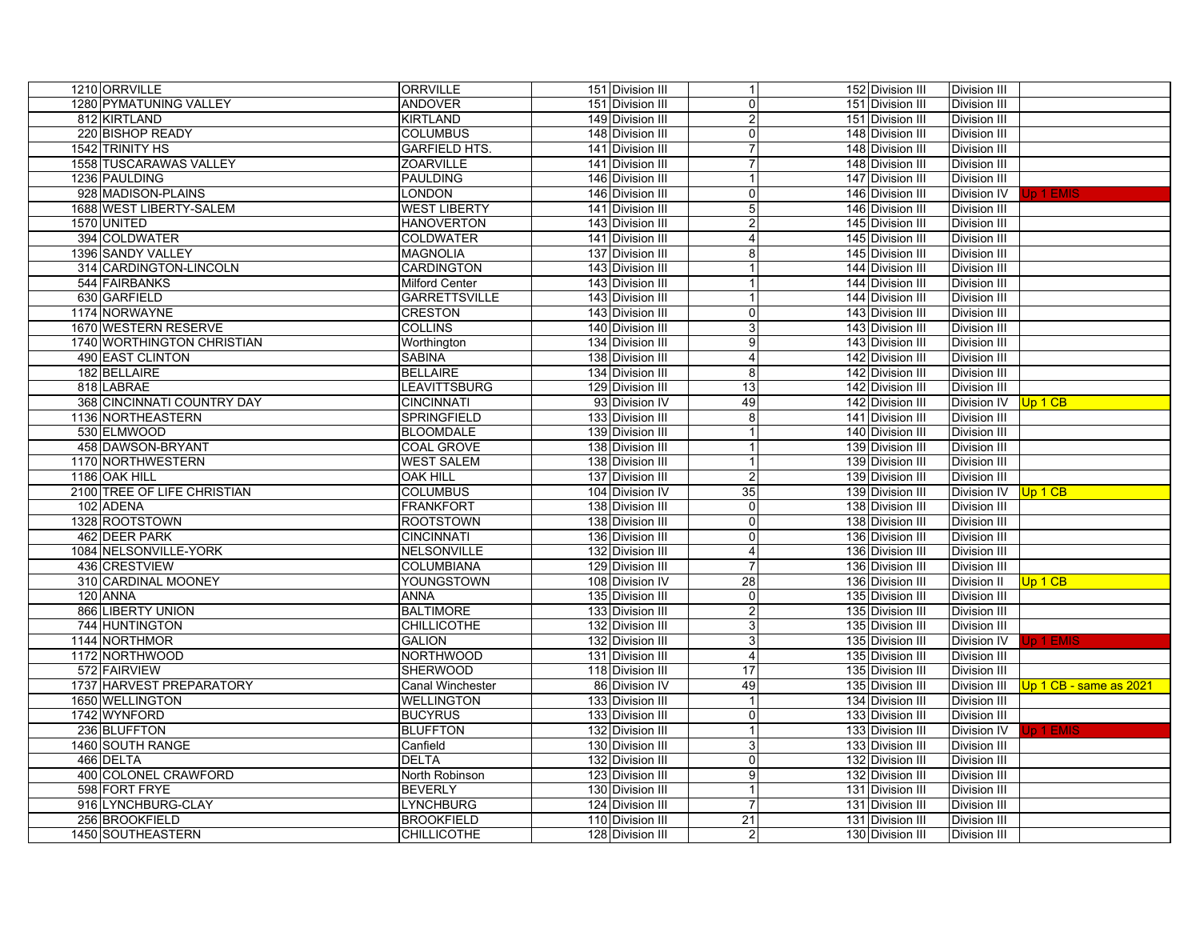| 1210 ORRVILLE               | <b>ORRVILLE</b>         | 151 Division III | $\mathbf{1}$    | 152 Division III | Division III        |                          |
|-----------------------------|-------------------------|------------------|-----------------|------------------|---------------------|--------------------------|
| 1280 PYMATUNING VALLEY      | <b>ANDOVER</b>          | 151 Division III | 0               | 151 Division III | <b>Division III</b> |                          |
| 812 KIRTLAND                | <b>KIRTLAND</b>         | 149 Division III |                 | 151 Division III | <b>Division III</b> |                          |
| 220 BISHOP READY            | <b>COLUMBUS</b>         | 148 Division III | $\mathbf 0$     | 148 Division III | Division III        |                          |
| 1542 TRINITY HS             | <b>GARFIELD HTS.</b>    | 141 Division III |                 | 148 Division III | <b>Division III</b> |                          |
| 1558 TUSCARAWAS VALLEY      | <b>ZOARVILLE</b>        | 141 Division III | $\overline{7}$  | 148 Division III | <b>Division III</b> |                          |
| 1236 PAULDING               | <b>PAULDING</b>         | 146 Division III | $\mathbf{1}$    | 147 Division III | Division III        |                          |
| 928 MADISON-PLAINS          | LONDON                  | 146 Division III | 0               | 146 Division III | Division IV         | <b>Jp 1 EMIS</b>         |
| 1688 WEST LIBERTY-SALEM     | <b>WEST LIBERTY</b>     | 141 Division III | $\overline{5}$  | 146 Division III | <b>Division III</b> |                          |
| 1570 UNITED                 | <b>HANOVERTON</b>       | 143 Division III | $\overline{2}$  | 145 Division III | Division III        |                          |
| 394 COLDWATER               | <b>COLDWATER</b>        | 141 Division III | 4               | 145 Division III | <b>Division III</b> |                          |
| 1396 SANDY VALLEY           | <b>MAGNOLIA</b>         | 137 Division III | 8               | 145 Division III | <b>Division III</b> |                          |
| 314 CARDINGTON-LINCOLN      | CARDINGTON              | 143 Division III |                 | 144 Division III | <b>Division III</b> |                          |
| 544 FAIRBANKS               | <b>Milford Center</b>   | 143 Division III |                 | 144 Division III | <b>Division III</b> |                          |
| 630 GARFIELD                | <b>GARRETTSVILLE</b>    | 143 Division III | $\mathbf{1}$    | 144 Division III | <b>Division III</b> |                          |
| 1174 NORWAYNE               | <b>CRESTON</b>          | 143 Division III | 0               | 143 Division III | <b>Division III</b> |                          |
| 1670 WESTERN RESERVE        | <b>COLLINS</b>          | 140 Division III | 3               | 143 Division III | Division III        |                          |
| 1740 WORTHINGTON CHRISTIAN  | Worthington             | 134 Division III | 9               | 143 Division III | <b>Division III</b> |                          |
| <b>490 EAST CLINTON</b>     | <b>SABINA</b>           | 138 Division III | 4               | 142 Division III | <b>Division III</b> |                          |
| 182 BELLAIRE                | <b>BELLAIRE</b>         | 134 Division III | 8               | 142 Division III | <b>Division III</b> |                          |
| 818 LABRAE                  | <b>LEAVITTSBURG</b>     | 129 Division III | 13              | 142 Division III | Division III        |                          |
| 368 CINCINNATI COUNTRY DAY  | <b>CINCINNATI</b>       | 93 Division IV   | 49              | 142 Division III | Division IV Up 1 CB |                          |
| 1136 NORTHEASTERN           | SPRINGFIELD             | 133 Division III | 8               | 141 Division III | Division III        |                          |
| 530 ELMWOOD                 | <b>BLOOMDALE</b>        | 139 Division III |                 | 140 Division III | <b>Division III</b> |                          |
| 458 DAWSON-BRYANT           | <b>COAL GROVE</b>       | 138 Division III |                 | 139 Division III | Division III        |                          |
| 1170 NORTHWESTERN           | <b>WEST SALEM</b>       | 138 Division III |                 | 139 Division III | <b>Division III</b> |                          |
| 1186 OAK HILL               | <b>OAK HILL</b>         | 137 Division III | $\mathfrak{p}$  | 139 Division III | Division III        |                          |
| 2100 TREE OF LIFE CHRISTIAN | <b>COLUMBUS</b>         | 104 Division IV  | 35              | 139 Division III | Division IV Up 1 CB |                          |
| 102 ADENA                   | <b>FRANKFORT</b>        | 138 Division III | $\mathbf 0$     | 138 Division III | <b>Division III</b> |                          |
| 1328 ROOTSTOWN              | <b>ROOTSTOWN</b>        | 138 Division III | $\mathbf 0$     | 138 Division III | <b>Division III</b> |                          |
| 462 DEER PARK               | <b>CINCINNATI</b>       | 136 Division III | 0               | 136 Division III | Division III        |                          |
| 1084 NELSONVILLE-YORK       | NELSONVILLE             | 132 Division III | 4               | 136 Division III | Division III        |                          |
| 436 CRESTVIEW               | <b>COLUMBIANA</b>       | 129 Division III | 7               | 136 Division III | <b>Division III</b> |                          |
| 310 CARDINAL MOONEY         | <b>YOUNGSTOWN</b>       | 108 Division IV  | 28              | 136 Division III | Division II         | Up 1 CB                  |
| 120 ANNA                    | <b>ANNA</b>             | 135 Division III | 0               | 135 Division III | <b>Division III</b> |                          |
| 866 LIBERTY UNION           | <b>BALTIMORE</b>        | 133 Division III | $\overline{2}$  | 135 Division III | Division III        |                          |
| 744 HUNTINGTON              | <b>CHILLICOTHE</b>      | 132 Division III | 3               | 135 Division III | Division III        |                          |
| 1144 NORTHMOR               | <b>GALION</b>           | 132 Division III | $\overline{3}$  | 135 Division III | Division IV         | Jp 1 EMIS                |
| 1172 NORTHWOOD              | <b>NORTHWOOD</b>        | 131 Division III | $\overline{4}$  | 135 Division III | <b>Division III</b> |                          |
| 572 FAIRVIEW                | <b>SHERWOOD</b>         | 118 Division III | $\overline{17}$ | 135 Division III | Division III        |                          |
| 1737 HARVEST PREPARATORY    | <b>Canal Winchester</b> | 86 Division IV   | 49              | 135 Division III | Division III        | $Up 1 CB - same as 2021$ |
| 1650 WELLINGTON             | <b>WELLINGTON</b>       | 133 Division III | $\overline{1}$  | 134 Division III | <b>Division III</b> |                          |
| 1742 WYNFORD                | <b>BUCYRUS</b>          | 133 Division III | 0               | 133 Division III | Division III        |                          |
| 236 BLUFFTON                | <b>BLUFFTON</b>         | 132 Division III | $\mathbf{1}$    | 133 Division III | Division IV         | <b>Jp 1 EMIS</b>         |
| 1460 SOUTH RANGE            | Canfield                | 130 Division III | 3               | 133 Division III | Division III        |                          |
| 466 DELTA                   | <b>DELTA</b>            | 132 Division III | 0               | 132 Division III | Division III        |                          |
| 400 COLONEL CRAWFORD        | North Robinson          | 123 Division III | 9               | 132 Division III | <b>Division III</b> |                          |
| 598 FORT FRYE               | <b>BEVERLY</b>          | 130 Division III | 1               | 131 Division III | <b>Division III</b> |                          |
| 916 LYNCHBURG-CLAY          | <b>LYNCHBURG</b>        | 124 Division III | $\overline{7}$  | 131 Division III | Division III        |                          |
| 256 BROOKFIELD              | <b>BROOKFIELD</b>       | 110 Division III | 21              | 131 Division III | <b>Division III</b> |                          |
| 1450 SOUTHEASTERN           | <b>CHILLICOTHE</b>      | 128 Division III | $\overline{2}$  | 130 Division III | Division III        |                          |
|                             |                         |                  |                 |                  |                     |                          |